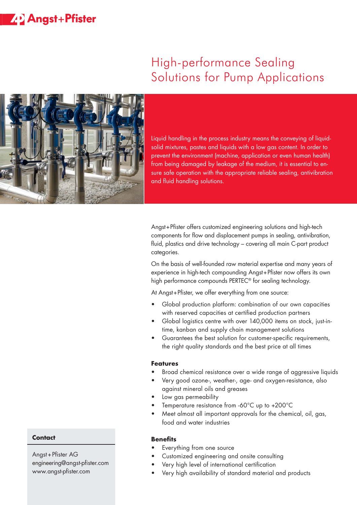## **Z-D** Angst+Pfister

# High-performance Sealing Solutions for Pump Applications



Liquid handling in the process industry means the conveying of liquidsolid mixtures, pastes and liquids with a low gas content. In order to prevent the environment (machine, application or even human health) from being damaged by leakage of the medium, it is essential to ensure safe operation with the appropriate reliable sealing, antivibration and fluid handling solutions.

Angst + Pfister offers customized engineering solutions and high-tech components for flow and displacement pumps in sealing, antivibration, fluid, plastics and drive technology – covering all main C-part product categories.

On the basis of well-founded raw material expertise and many years of experience in high-tech compounding Angst + Pfister now offers its own high performance compounds PERTEC® for sealing technology.

At Anast + Pfister, we offer everything from one source:

- Global production platform: combination of our own capacities with reserved capacities at certified production partners
- Global logistics centre with over 140,000 items on stock, just-intime, kanban and supply chain management solutions
- Guarantees the best solution for customer-specific requirements, the right quality standards and the best price at all times

#### **Features**

- Broad chemical resistance over a wide range of aggressive liquids
- Very good ozone-, weather-, age- and oxygen-resistance, also against mineral oils and greases
- Low gas permeability
- Temperature resistance from -60°C up to +200°C
- Meet almost all important approvals for the chemical, oil, gas, food and water industries

#### **Benefits**

- Everything from one source
- Customized engineering and onsite consulting
- Very high level of international certification
- Very high availability of standard material and products

#### **Contact**

Angst+Pfister AG engineering@angst-pfister.com www.angst-pfister.com